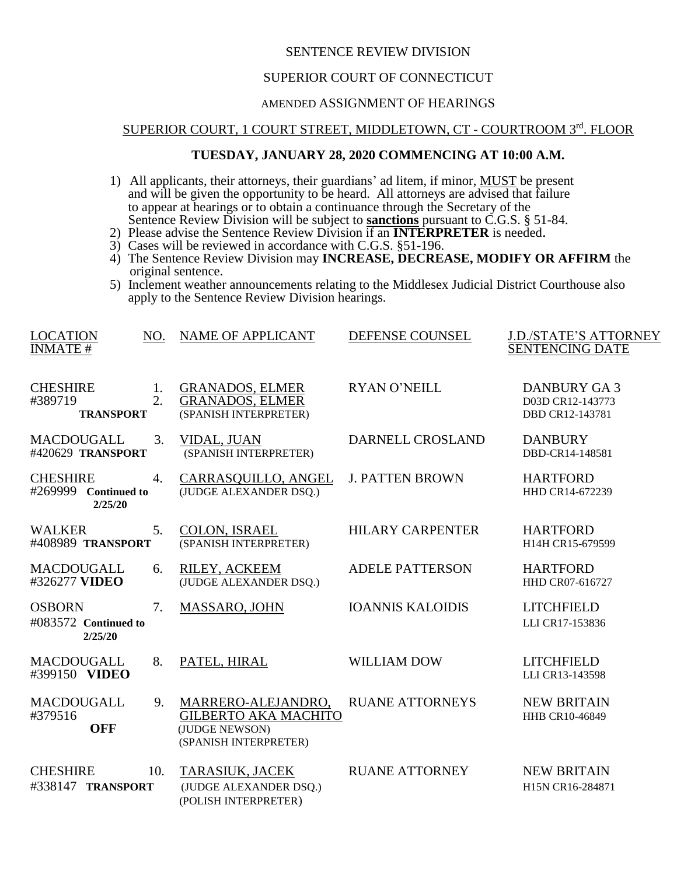## SENTENCE REVIEW DIVISION

#### SUPERIOR COURT OF CONNECTICUT

# AMENDED ASSIGNMENT OF HEARINGS

## SUPERIOR COURT, 1 COURT STREET, MIDDLETOWN, CT - COURTROOM 3rd. FLOOR

## **TUESDAY, JANUARY 28, 2020 COMMENCING AT 10:00 A.M.**

- 1) All applicants, their attorneys, their guardians' ad litem, if minor, MUST be present and will be given the opportunity to be heard. All attorneys are advised that failure to appear at hearings or to obtain a continuance through the Secretary of the Sentence Review Division will be subject to **sanctions** pursuant to C.G.S. § 51-84.
- 2) Please advise the Sentence Review Division if an **INTERPRETER** is needed.
- 3) Cases will be reviewed in accordance with C.G.S. §51-196.
- 4) The Sentence Review Division may **INCREASE, DECREASE, MODIFY OR AFFIRM** the original sentence.
- 5) Inclement weather announcements relating to the Middlesex Judicial District Courthouse also apply to the Sentence Review Division hearings.

| <b>LOCATION</b><br>NO.<br><b>INMATE#</b>           |                  | <b>NAME OF APPLICANT</b>                                                                     | DEFENSE COUNSEL         | <b>J.D./STATE'S ATTORNEY</b><br><b>SENTENCING DATE</b>    |
|----------------------------------------------------|------------------|----------------------------------------------------------------------------------------------|-------------------------|-----------------------------------------------------------|
| <b>CHESHIRE</b><br>#389719<br><b>TRANSPORT</b>     | 1.<br>2.         | <b>GRANADOS, ELMER</b><br><b>GRANADOS, ELMER</b><br>(SPANISH INTERPRETER)                    | <b>RYAN O'NEILL</b>     | <b>DANBURY GA3</b><br>D03D CR12-143773<br>DBD CR12-143781 |
| <b>MACDOUGALL</b><br>#420629 TRANSPORT             | 3.               | <b>VIDAL, JUAN</b><br>(SPANISH INTERPRETER)                                                  | DARNELL CROSLAND        | <b>DANBURY</b><br>DBD-CR14-148581                         |
| <b>CHESHIRE</b><br>#269999 Continued to<br>2/25/20 | $\overline{4}$ . | CARRASQUILLO, ANGEL<br>(JUDGE ALEXANDER DSQ.)                                                | <b>J. PATTEN BROWN</b>  | <b>HARTFORD</b><br>HHD CR14-672239                        |
| <b>WALKER</b><br>#408989 TRANSPORT                 | 5.               | <b>COLON, ISRAEL</b><br>(SPANISH INTERPRETER)                                                | <b>HILARY CARPENTER</b> | <b>HARTFORD</b><br>H14H CR15-679599                       |
| <b>MACDOUGALL</b><br>#326277 VIDEO                 | 6.               | RILEY, ACKEEM<br>(JUDGE ALEXANDER DSQ.)                                                      | <b>ADELE PATTERSON</b>  | <b>HARTFORD</b><br>HHD CR07-616727                        |
| <b>OSBORN</b><br>#083572 Continued to<br>2/25/20   | 7.               | MASSARO, JOHN                                                                                | <b>IOANNIS KALOIDIS</b> | <b>LITCHFIELD</b><br>LLI CR17-153836                      |
| <b>MACDOUGALL</b><br>#399150 VIDEO                 | 8.               | PATEL, HIRAL                                                                                 | <b>WILLIAM DOW</b>      | <b>LITCHFIELD</b><br>LLI CR13-143598                      |
| <b>MACDOUGALL</b><br>#379516<br><b>OFF</b>         | 9.               | MARRERO-ALEJANDRO,<br><b>GILBERTO AKA MACHITO</b><br>(JUDGE NEWSON)<br>(SPANISH INTERPRETER) | <b>RUANE ATTORNEYS</b>  | <b>NEW BRITAIN</b><br>HHB CR10-46849                      |
| <b>CHESHIRE</b><br>#338147 TRANSPORT               | 10.              | TARASIUK, JACEK<br>(JUDGE ALEXANDER DSQ.)<br>(POLISH INTERPRETER)                            | <b>RUANE ATTORNEY</b>   | <b>NEW BRITAIN</b><br>H15N CR16-284871                    |